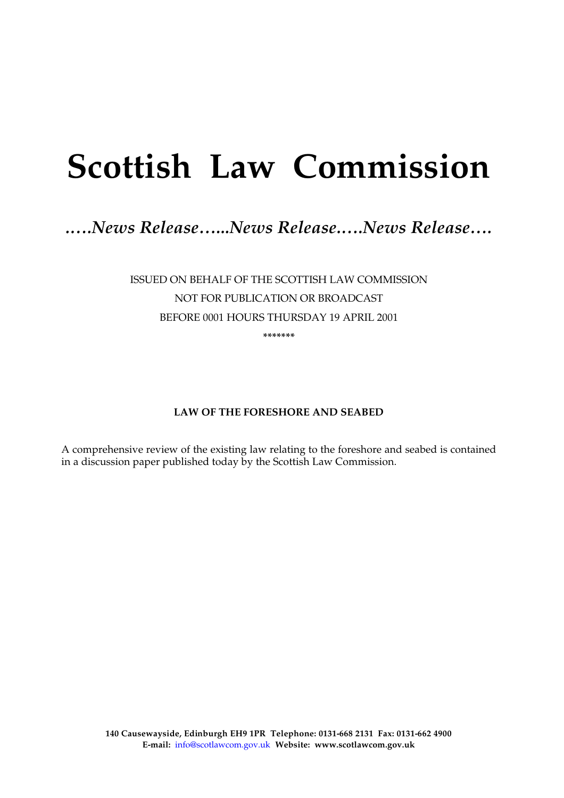# **Scottish Law Commission**

# *.….News Release…...News Release.….News Release….*

ISSUED ON BEHALF OF THE SCOTTISH LAW COMMISSION NOT FOR PUBLICATION OR BROADCAST BEFORE 0001 HOURS THURSDAY 19 APRIL 2001

**\*\*\*\*\*\*\*** 

# **LAW OF THE FORESHORE AND SEABED**

A comprehensive review of the existing law relating to the foreshore and seabed is contained in a discussion paper published today by the Scottish Law Commission.